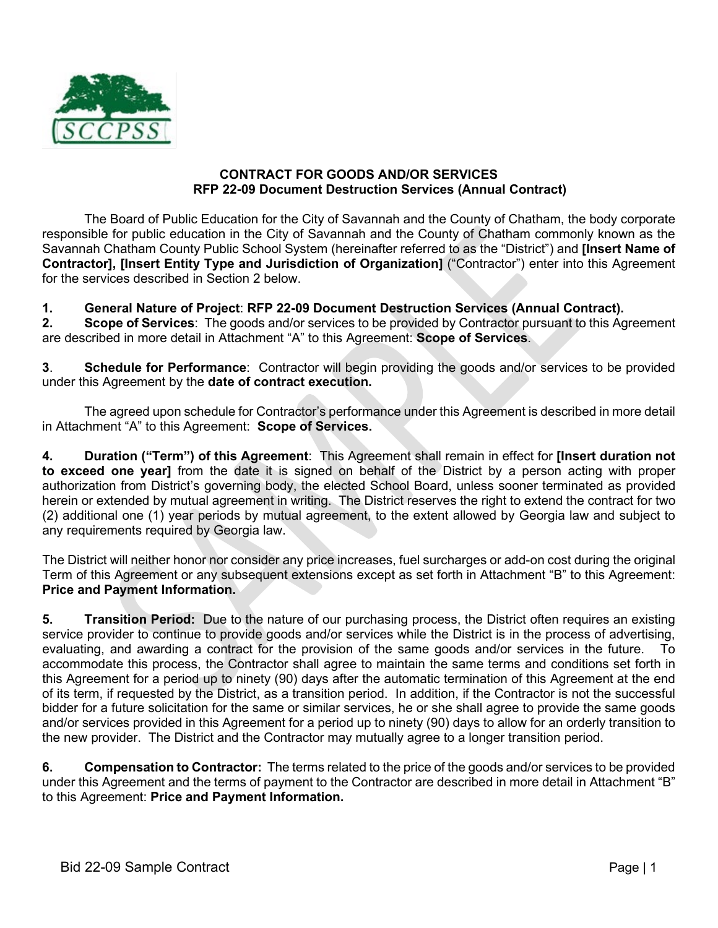

#### **CONTRACT FOR GOODS AND/OR SERVICES RFP 22-09 Document Destruction Services (Annual Contract)**

The Board of Public Education for the City of Savannah and the County of Chatham, the body corporate responsible for public education in the City of Savannah and the County of Chatham commonly known as the Savannah Chatham County Public School System (hereinafter referred to as the "District") and **[Insert Name of Contractor], [Insert Entity Type and Jurisdiction of Organization]** ("Contractor") enter into this Agreement for the services described in Section 2 below.

#### **1. General Nature of Project**: **RFP 22-09 Document Destruction Services (Annual Contract).**

**2. Scope of Services**: The goods and/or services to be provided by Contractor pursuant to this Agreement are described in more detail in Attachment "A" to this Agreement: **Scope of Services**.

**3**. **Schedule for Performance**: Contractor will begin providing the goods and/or services to be provided under this Agreement by the **date of contract execution.**

The agreed upon schedule for Contractor's performance under this Agreement is described in more detail in Attachment "A" to this Agreement: **Scope of Services.**

**4. Duration ("Term") of this Agreement**: This Agreement shall remain in effect for **[Insert duration not to exceed one year]** from the date it is signed on behalf of the District by a person acting with proper authorization from District's governing body, the elected School Board, unless sooner terminated as provided herein or extended by mutual agreement in writing. The District reserves the right to extend the contract for two (2) additional one (1) year periods by mutual agreement, to the extent allowed by Georgia law and subject to any requirements required by Georgia law.

The District will neither honor nor consider any price increases, fuel surcharges or add-on cost during the original Term of this Agreement or any subsequent extensions except as set forth in Attachment "B" to this Agreement: **Price and Payment Information.**

**5. Transition Period:** Due to the nature of our purchasing process, the District often requires an existing service provider to continue to provide goods and/or services while the District is in the process of advertising, evaluating, and awarding a contract for the provision of the same goods and/or services in the future. To accommodate this process, the Contractor shall agree to maintain the same terms and conditions set forth in this Agreement for a period up to ninety (90) days after the automatic termination of this Agreement at the end of its term, if requested by the District, as a transition period. In addition, if the Contractor is not the successful bidder for a future solicitation for the same or similar services, he or she shall agree to provide the same goods and/or services provided in this Agreement for a period up to ninety (90) days to allow for an orderly transition to the new provider. The District and the Contractor may mutually agree to a longer transition period.

**6. Compensation to Contractor:** The terms related to the price of the goods and/or services to be provided under this Agreement and the terms of payment to the Contractor are described in more detail in Attachment "B" to this Agreement: **Price and Payment Information.**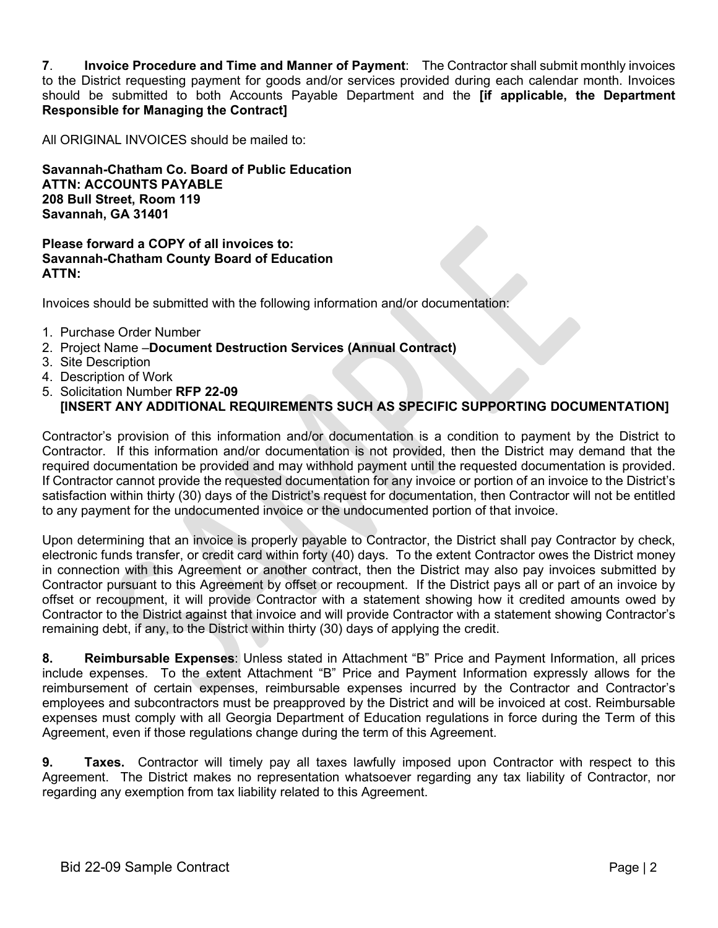**7**. **Invoice Procedure and Time and Manner of Payment**: The Contractor shall submit monthly invoices to the District requesting payment for goods and/or services provided during each calendar month. Invoices should be submitted to both Accounts Payable Department and the **[if applicable, the Department Responsible for Managing the Contract]**

All ORIGINAL INVOICES should be mailed to:

**Savannah-Chatham Co. Board of Public Education ATTN: ACCOUNTS PAYABLE 208 Bull Street, Room 119 Savannah, GA 31401**

#### **Please forward a COPY of all invoices to: Savannah-Chatham County Board of Education ATTN:**

Invoices should be submitted with the following information and/or documentation:

- 1. Purchase Order Number
- 2. Project Name –**Document Destruction Services (Annual Contract)**
- 3. Site Description
- 4. Description of Work
- 5. Solicitation Number **RFP 22-09**

## **[INSERT ANY ADDITIONAL REQUIREMENTS SUCH AS SPECIFIC SUPPORTING DOCUMENTATION]**

Contractor's provision of this information and/or documentation is a condition to payment by the District to Contractor. If this information and/or documentation is not provided, then the District may demand that the required documentation be provided and may withhold payment until the requested documentation is provided. If Contractor cannot provide the requested documentation for any invoice or portion of an invoice to the District's satisfaction within thirty (30) days of the District's request for documentation, then Contractor will not be entitled to any payment for the undocumented invoice or the undocumented portion of that invoice.

Upon determining that an invoice is properly payable to Contractor, the District shall pay Contractor by check, electronic funds transfer, or credit card within forty (40) days. To the extent Contractor owes the District money in connection with this Agreement or another contract, then the District may also pay invoices submitted by Contractor pursuant to this Agreement by offset or recoupment. If the District pays all or part of an invoice by offset or recoupment, it will provide Contractor with a statement showing how it credited amounts owed by Contractor to the District against that invoice and will provide Contractor with a statement showing Contractor's remaining debt, if any, to the District within thirty (30) days of applying the credit.

**8. Reimbursable Expenses**: Unless stated in Attachment "B" Price and Payment Information, all prices include expenses. To the extent Attachment "B" Price and Payment Information expressly allows for the reimbursement of certain expenses, reimbursable expenses incurred by the Contractor and Contractor's employees and subcontractors must be preapproved by the District and will be invoiced at cost. Reimbursable expenses must comply with all Georgia Department of Education regulations in force during the Term of this Agreement, even if those regulations change during the term of this Agreement.

**9. Taxes.** Contractor will timely pay all taxes lawfully imposed upon Contractor with respect to this Agreement. The District makes no representation whatsoever regarding any tax liability of Contractor, nor regarding any exemption from tax liability related to this Agreement.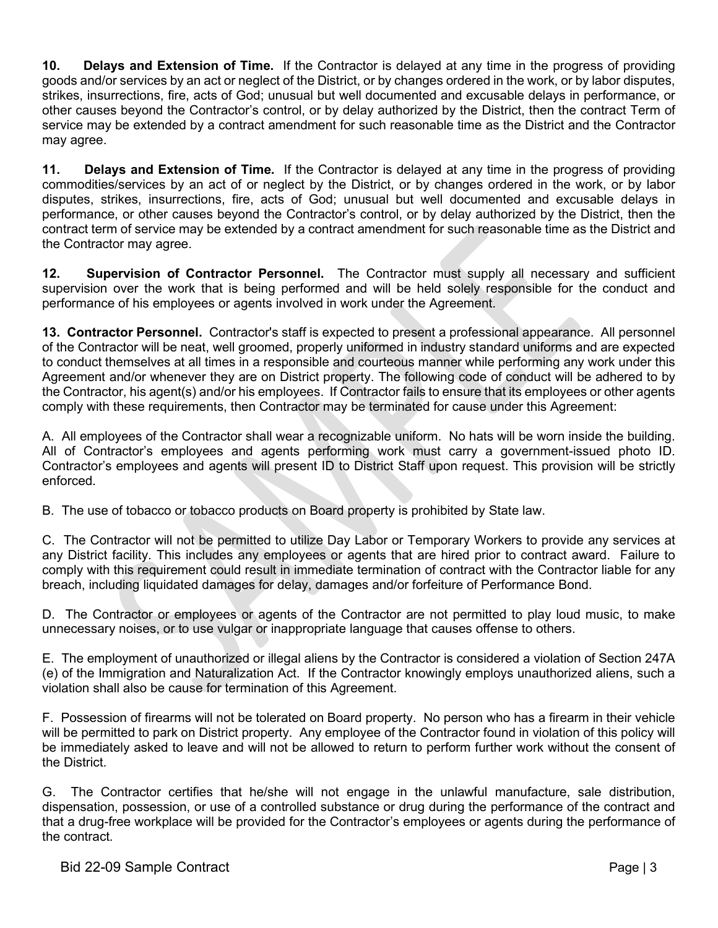**10. Delays and Extension of Time.** If the Contractor is delayed at any time in the progress of providing goods and/or services by an act or neglect of the District, or by changes ordered in the work, or by labor disputes, strikes, insurrections, fire, acts of God; unusual but well documented and excusable delays in performance, or other causes beyond the Contractor's control, or by delay authorized by the District, then the contract Term of service may be extended by a contract amendment for such reasonable time as the District and the Contractor may agree.

**11. Delays and Extension of Time.** If the Contractor is delayed at any time in the progress of providing commodities/services by an act of or neglect by the District, or by changes ordered in the work, or by labor disputes, strikes, insurrections, fire, acts of God; unusual but well documented and excusable delays in performance, or other causes beyond the Contractor's control, or by delay authorized by the District, then the contract term of service may be extended by a contract amendment for such reasonable time as the District and the Contractor may agree.

**12. Supervision of Contractor Personnel.** The Contractor must supply all necessary and sufficient supervision over the work that is being performed and will be held solely responsible for the conduct and performance of his employees or agents involved in work under the Agreement.

**13. Contractor Personnel.** Contractor's staff is expected to present a professional appearance. All personnel of the Contractor will be neat, well groomed, properly uniformed in industry standard uniforms and are expected to conduct themselves at all times in a responsible and courteous manner while performing any work under this Agreement and/or whenever they are on District property. The following code of conduct will be adhered to by the Contractor, his agent(s) and/or his employees. If Contractor fails to ensure that its employees or other agents comply with these requirements, then Contractor may be terminated for cause under this Agreement:

A. All employees of the Contractor shall wear a recognizable uniform. No hats will be worn inside the building. All of Contractor's employees and agents performing work must carry a government-issued photo ID. Contractor's employees and agents will present ID to District Staff upon request. This provision will be strictly enforced.

B. The use of tobacco or tobacco products on Board property is prohibited by State law.

C. The Contractor will not be permitted to utilize Day Labor or Temporary Workers to provide any services at any District facility. This includes any employees or agents that are hired prior to contract award. Failure to comply with this requirement could result in immediate termination of contract with the Contractor liable for any breach, including liquidated damages for delay, damages and/or forfeiture of Performance Bond.

D. The Contractor or employees or agents of the Contractor are not permitted to play loud music, to make unnecessary noises, or to use vulgar or inappropriate language that causes offense to others.

E. The employment of unauthorized or illegal aliens by the Contractor is considered a violation of Section 247A (e) of the Immigration and Naturalization Act. If the Contractor knowingly employs unauthorized aliens, such a violation shall also be cause for termination of this Agreement.

F. Possession of firearms will not be tolerated on Board property. No person who has a firearm in their vehicle will be permitted to park on District property. Any employee of the Contractor found in violation of this policy will be immediately asked to leave and will not be allowed to return to perform further work without the consent of the District.

G. The Contractor certifies that he/she will not engage in the unlawful manufacture, sale distribution, dispensation, possession, or use of a controlled substance or drug during the performance of the contract and that a drug-free workplace will be provided for the Contractor's employees or agents during the performance of the contract.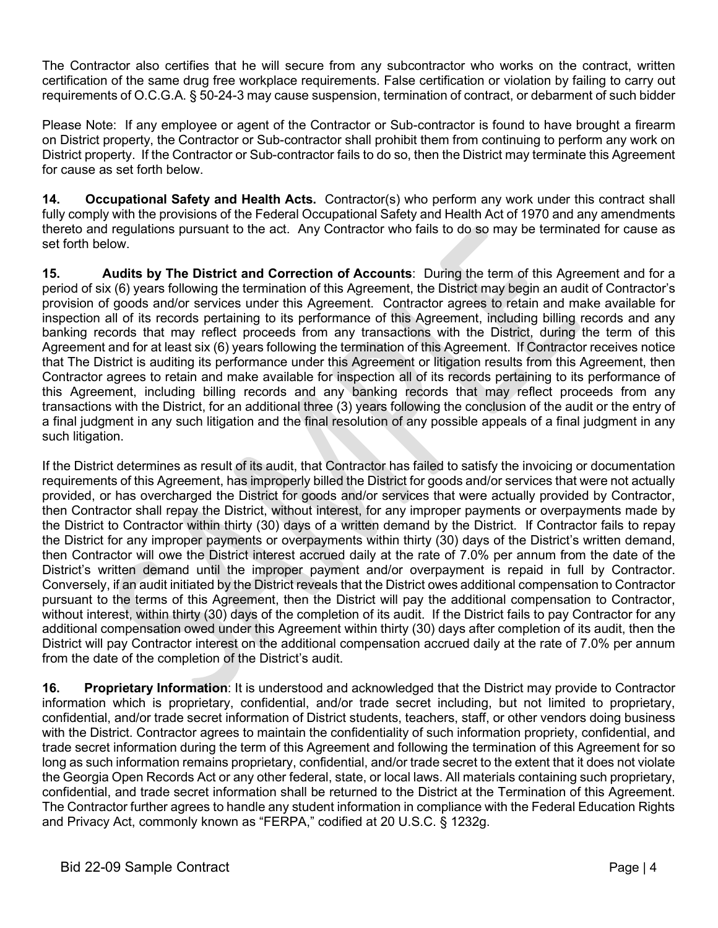The Contractor also certifies that he will secure from any subcontractor who works on the contract, written certification of the same drug free workplace requirements. False certification or violation by failing to carry out requirements of O.C.G.A. § 50-24-3 may cause suspension, termination of contract, or debarment of such bidder

Please Note: If any employee or agent of the Contractor or Sub-contractor is found to have brought a firearm on District property, the Contractor or Sub-contractor shall prohibit them from continuing to perform any work on District property. If the Contractor or Sub-contractor fails to do so, then the District may terminate this Agreement for cause as set forth below.

**14. Occupational Safety and Health Acts.** Contractor(s) who perform any work under this contract shall fully comply with the provisions of the Federal Occupational Safety and Health Act of 1970 and any amendments thereto and regulations pursuant to the act. Any Contractor who fails to do so may be terminated for cause as set forth below.

**15. Audits by The District and Correction of Accounts**: During the term of this Agreement and for a period of six (6) years following the termination of this Agreement, the District may begin an audit of Contractor's provision of goods and/or services under this Agreement. Contractor agrees to retain and make available for inspection all of its records pertaining to its performance of this Agreement, including billing records and any banking records that may reflect proceeds from any transactions with the District, during the term of this Agreement and for at least six (6) years following the termination of this Agreement. If Contractor receives notice that The District is auditing its performance under this Agreement or litigation results from this Agreement, then Contractor agrees to retain and make available for inspection all of its records pertaining to its performance of this Agreement, including billing records and any banking records that may reflect proceeds from any transactions with the District, for an additional three (3) years following the conclusion of the audit or the entry of a final judgment in any such litigation and the final resolution of any possible appeals of a final judgment in any such litigation.

If the District determines as result of its audit, that Contractor has failed to satisfy the invoicing or documentation requirements of this Agreement, has improperly billed the District for goods and/or services that were not actually provided, or has overcharged the District for goods and/or services that were actually provided by Contractor, then Contractor shall repay the District, without interest, for any improper payments or overpayments made by the District to Contractor within thirty (30) days of a written demand by the District. If Contractor fails to repay the District for any improper payments or overpayments within thirty (30) days of the District's written demand, then Contractor will owe the District interest accrued daily at the rate of 7.0% per annum from the date of the District's written demand until the improper payment and/or overpayment is repaid in full by Contractor. Conversely, if an audit initiated by the District reveals that the District owes additional compensation to Contractor pursuant to the terms of this Agreement, then the District will pay the additional compensation to Contractor, without interest, within thirty (30) days of the completion of its audit. If the District fails to pay Contractor for any additional compensation owed under this Agreement within thirty (30) days after completion of its audit, then the District will pay Contractor interest on the additional compensation accrued daily at the rate of 7.0% per annum from the date of the completion of the District's audit.

**16. Proprietary Information**: It is understood and acknowledged that the District may provide to Contractor information which is proprietary, confidential, and/or trade secret including, but not limited to proprietary, confidential, and/or trade secret information of District students, teachers, staff, or other vendors doing business with the District. Contractor agrees to maintain the confidentiality of such information propriety, confidential, and trade secret information during the term of this Agreement and following the termination of this Agreement for so long as such information remains proprietary, confidential, and/or trade secret to the extent that it does not violate the Georgia Open Records Act or any other federal, state, or local laws. All materials containing such proprietary, confidential, and trade secret information shall be returned to the District at the Termination of this Agreement. The Contractor further agrees to handle any student information in compliance with the Federal Education Rights and Privacy Act, commonly known as "FERPA," codified at 20 U.S.C. § 1232g.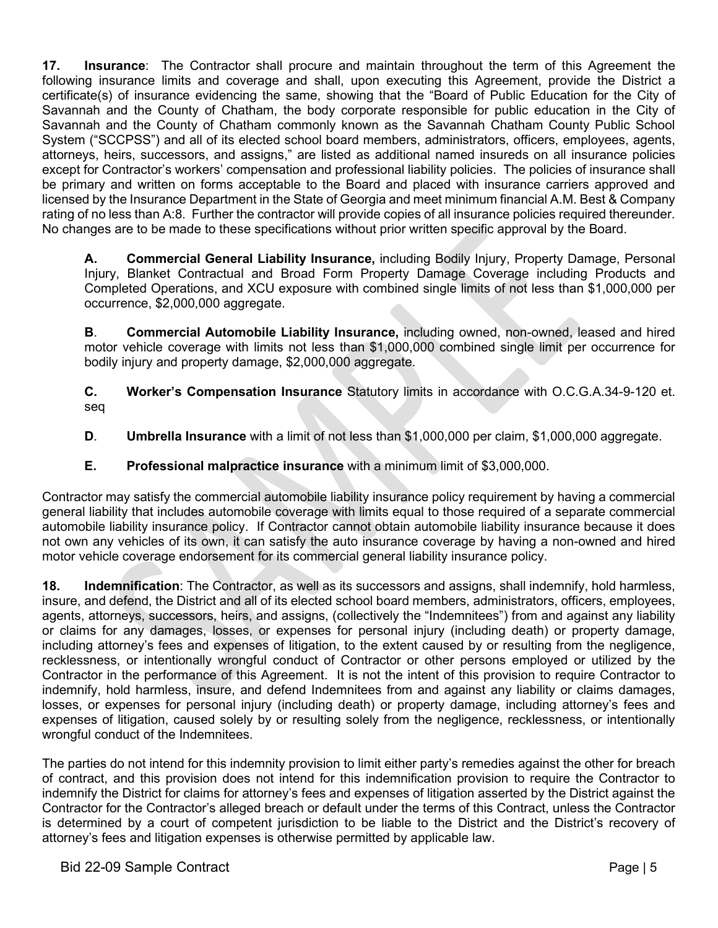**17. Insurance**: The Contractor shall procure and maintain throughout the term of this Agreement the following insurance limits and coverage and shall, upon executing this Agreement, provide the District a certificate(s) of insurance evidencing the same, showing that the "Board of Public Education for the City of Savannah and the County of Chatham, the body corporate responsible for public education in the City of Savannah and the County of Chatham commonly known as the Savannah Chatham County Public School System ("SCCPSS") and all of its elected school board members, administrators, officers, employees, agents, attorneys, heirs, successors, and assigns," are listed as additional named insureds on all insurance policies except for Contractor's workers' compensation and professional liability policies. The policies of insurance shall be primary and written on forms acceptable to the Board and placed with insurance carriers approved and licensed by the Insurance Department in the State of Georgia and meet minimum financial A.M. Best & Company rating of no less than A:8. Further the contractor will provide copies of all insurance policies required thereunder. No changes are to be made to these specifications without prior written specific approval by the Board.

**A. Commercial General Liability Insurance,** including Bodily Injury, Property Damage, Personal Injury, Blanket Contractual and Broad Form Property Damage Coverage including Products and Completed Operations, and XCU exposure with combined single limits of not less than \$1,000,000 per occurrence, \$2,000,000 aggregate.

**B**. **Commercial Automobile Liability Insurance,** including owned, non-owned, leased and hired motor vehicle coverage with limits not less than \$1,000,000 combined single limit per occurrence for bodily injury and property damage, \$2,000,000 aggregate.

**C. Worker's Compensation Insurance** Statutory limits in accordance with O.C.G.A.34-9-120 et. seq

- **D**. **Umbrella Insurance** with a limit of not less than \$1,000,000 per claim, \$1,000,000 aggregate.
- **E. Professional malpractice insurance** with a minimum limit of \$3,000,000.

Contractor may satisfy the commercial automobile liability insurance policy requirement by having a commercial general liability that includes automobile coverage with limits equal to those required of a separate commercial automobile liability insurance policy. If Contractor cannot obtain automobile liability insurance because it does not own any vehicles of its own, it can satisfy the auto insurance coverage by having a non-owned and hired motor vehicle coverage endorsement for its commercial general liability insurance policy.

**18. Indemnification**: The Contractor, as well as its successors and assigns, shall indemnify, hold harmless, insure, and defend, the District and all of its elected school board members, administrators, officers, employees, agents, attorneys, successors, heirs, and assigns, (collectively the "Indemnitees") from and against any liability or claims for any damages, losses, or expenses for personal injury (including death) or property damage, including attorney's fees and expenses of litigation, to the extent caused by or resulting from the negligence, recklessness, or intentionally wrongful conduct of Contractor or other persons employed or utilized by the Contractor in the performance of this Agreement. It is not the intent of this provision to require Contractor to indemnify, hold harmless, insure, and defend Indemnitees from and against any liability or claims damages, losses, or expenses for personal injury (including death) or property damage, including attorney's fees and expenses of litigation, caused solely by or resulting solely from the negligence, recklessness, or intentionally wrongful conduct of the Indemnitees.

The parties do not intend for this indemnity provision to limit either party's remedies against the other for breach of contract, and this provision does not intend for this indemnification provision to require the Contractor to indemnify the District for claims for attorney's fees and expenses of litigation asserted by the District against the Contractor for the Contractor's alleged breach or default under the terms of this Contract, unless the Contractor is determined by a court of competent jurisdiction to be liable to the District and the District's recovery of attorney's fees and litigation expenses is otherwise permitted by applicable law.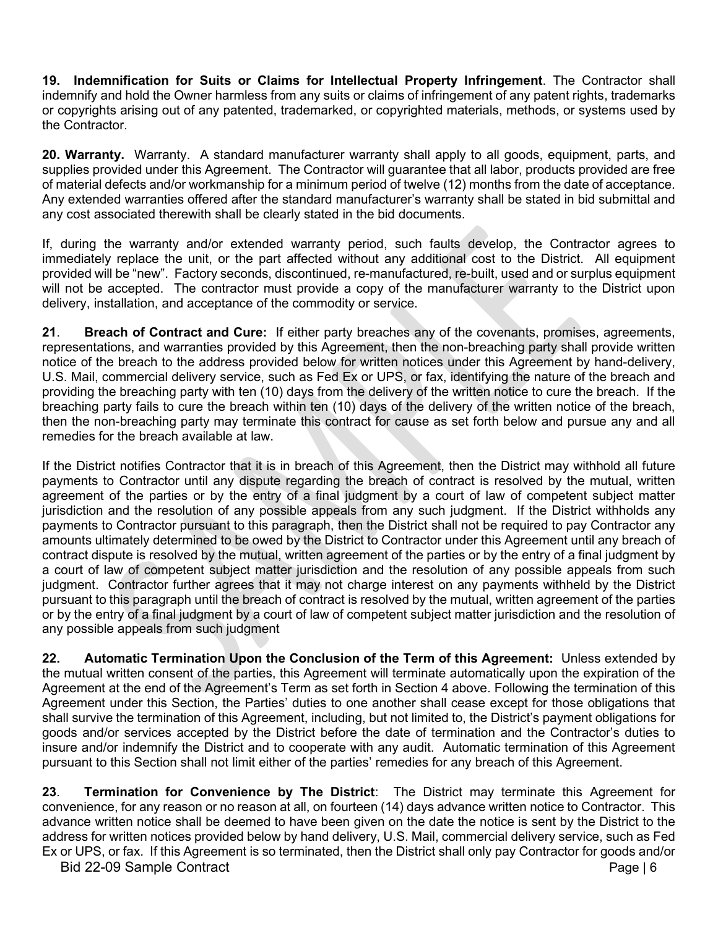**19. Indemnification for Suits or Claims for Intellectual Property Infringement**. The Contractor shall indemnify and hold the Owner harmless from any suits or claims of infringement of any patent rights, trademarks or copyrights arising out of any patented, trademarked, or copyrighted materials, methods, or systems used by the Contractor.

**20. Warranty.** Warranty. A standard manufacturer warranty shall apply to all goods, equipment, parts, and supplies provided under this Agreement. The Contractor will guarantee that all labor, products provided are free of material defects and/or workmanship for a minimum period of twelve (12) months from the date of acceptance. Any extended warranties offered after the standard manufacturer's warranty shall be stated in bid submittal and any cost associated therewith shall be clearly stated in the bid documents.

If, during the warranty and/or extended warranty period, such faults develop, the Contractor agrees to immediately replace the unit, or the part affected without any additional cost to the District. All equipment provided will be "new". Factory seconds, discontinued, re-manufactured, re-built, used and or surplus equipment will not be accepted. The contractor must provide a copy of the manufacturer warranty to the District upon delivery, installation, and acceptance of the commodity or service.

**21**. **Breach of Contract and Cure:** If either party breaches any of the covenants, promises, agreements, representations, and warranties provided by this Agreement, then the non-breaching party shall provide written notice of the breach to the address provided below for written notices under this Agreement by hand-delivery, U.S. Mail, commercial delivery service, such as Fed Ex or UPS, or fax, identifying the nature of the breach and providing the breaching party with ten (10) days from the delivery of the written notice to cure the breach. If the breaching party fails to cure the breach within ten (10) days of the delivery of the written notice of the breach, then the non-breaching party may terminate this contract for cause as set forth below and pursue any and all remedies for the breach available at law.

If the District notifies Contractor that it is in breach of this Agreement, then the District may withhold all future payments to Contractor until any dispute regarding the breach of contract is resolved by the mutual, written agreement of the parties or by the entry of a final judgment by a court of law of competent subject matter jurisdiction and the resolution of any possible appeals from any such judgment. If the District withholds any payments to Contractor pursuant to this paragraph, then the District shall not be required to pay Contractor any amounts ultimately determined to be owed by the District to Contractor under this Agreement until any breach of contract dispute is resolved by the mutual, written agreement of the parties or by the entry of a final judgment by a court of law of competent subject matter jurisdiction and the resolution of any possible appeals from such judgment. Contractor further agrees that it may not charge interest on any payments withheld by the District pursuant to this paragraph until the breach of contract is resolved by the mutual, written agreement of the parties or by the entry of a final judgment by a court of law of competent subject matter jurisdiction and the resolution of any possible appeals from such judgment

**22. Automatic Termination Upon the Conclusion of the Term of this Agreement:** Unless extended by the mutual written consent of the parties, this Agreement will terminate automatically upon the expiration of the Agreement at the end of the Agreement's Term as set forth in Section 4 above. Following the termination of this Agreement under this Section, the Parties' duties to one another shall cease except for those obligations that shall survive the termination of this Agreement, including, but not limited to, the District's payment obligations for goods and/or services accepted by the District before the date of termination and the Contractor's duties to insure and/or indemnify the District and to cooperate with any audit. Automatic termination of this Agreement pursuant to this Section shall not limit either of the parties' remedies for any breach of this Agreement.

**23**. **Termination for Convenience by The District**: The District may terminate this Agreement for convenience, for any reason or no reason at all, on fourteen (14) days advance written notice to Contractor. This advance written notice shall be deemed to have been given on the date the notice is sent by the District to the address for written notices provided below by hand delivery, U.S. Mail, commercial delivery service, such as Fed Ex or UPS, or fax. If this Agreement is so terminated, then the District shall only pay Contractor for goods and/or

Bid 22-09 Sample Contract **Page 16**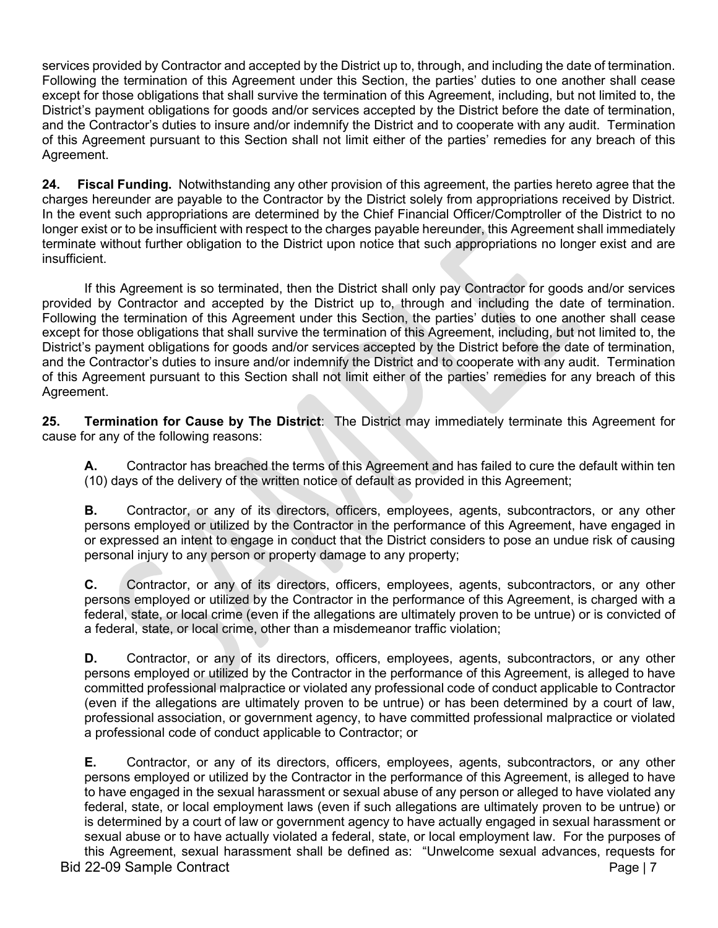services provided by Contractor and accepted by the District up to, through, and including the date of termination. Following the termination of this Agreement under this Section, the parties' duties to one another shall cease except for those obligations that shall survive the termination of this Agreement, including, but not limited to, the District's payment obligations for goods and/or services accepted by the District before the date of termination, and the Contractor's duties to insure and/or indemnify the District and to cooperate with any audit. Termination of this Agreement pursuant to this Section shall not limit either of the parties' remedies for any breach of this Agreement.

**24. Fiscal Funding.** Notwithstanding any other provision of this agreement, the parties hereto agree that the charges hereunder are payable to the Contractor by the District solely from appropriations received by District. In the event such appropriations are determined by the Chief Financial Officer/Comptroller of the District to no longer exist or to be insufficient with respect to the charges payable hereunder, this Agreement shall immediately terminate without further obligation to the District upon notice that such appropriations no longer exist and are insufficient.

If this Agreement is so terminated, then the District shall only pay Contractor for goods and/or services provided by Contractor and accepted by the District up to, through and including the date of termination. Following the termination of this Agreement under this Section, the parties' duties to one another shall cease except for those obligations that shall survive the termination of this Agreement, including, but not limited to, the District's payment obligations for goods and/or services accepted by the District before the date of termination, and the Contractor's duties to insure and/or indemnify the District and to cooperate with any audit. Termination of this Agreement pursuant to this Section shall not limit either of the parties' remedies for any breach of this Agreement.

**25. Termination for Cause by The District**: The District may immediately terminate this Agreement for cause for any of the following reasons:

**A.** Contractor has breached the terms of this Agreement and has failed to cure the default within ten (10) days of the delivery of the written notice of default as provided in this Agreement;

**B.** Contractor, or any of its directors, officers, employees, agents, subcontractors, or any other persons employed or utilized by the Contractor in the performance of this Agreement, have engaged in or expressed an intent to engage in conduct that the District considers to pose an undue risk of causing personal injury to any person or property damage to any property;

**C.** Contractor, or any of its directors, officers, employees, agents, subcontractors, or any other persons employed or utilized by the Contractor in the performance of this Agreement, is charged with a federal, state, or local crime (even if the allegations are ultimately proven to be untrue) or is convicted of a federal, state, or local crime, other than a misdemeanor traffic violation;

**D.** Contractor, or any of its directors, officers, employees, agents, subcontractors, or any other persons employed or utilized by the Contractor in the performance of this Agreement, is alleged to have committed professional malpractice or violated any professional code of conduct applicable to Contractor (even if the allegations are ultimately proven to be untrue) or has been determined by a court of law, professional association, or government agency, to have committed professional malpractice or violated a professional code of conduct applicable to Contractor; or

**E.** Contractor, or any of its directors, officers, employees, agents, subcontractors, or any other persons employed or utilized by the Contractor in the performance of this Agreement, is alleged to have to have engaged in the sexual harassment or sexual abuse of any person or alleged to have violated any federal, state, or local employment laws (even if such allegations are ultimately proven to be untrue) or is determined by a court of law or government agency to have actually engaged in sexual harassment or sexual abuse or to have actually violated a federal, state, or local employment law. For the purposes of this Agreement, sexual harassment shall be defined as: "Unwelcome sexual advances, requests for

Bid 22-09 Sample Contract Page | 7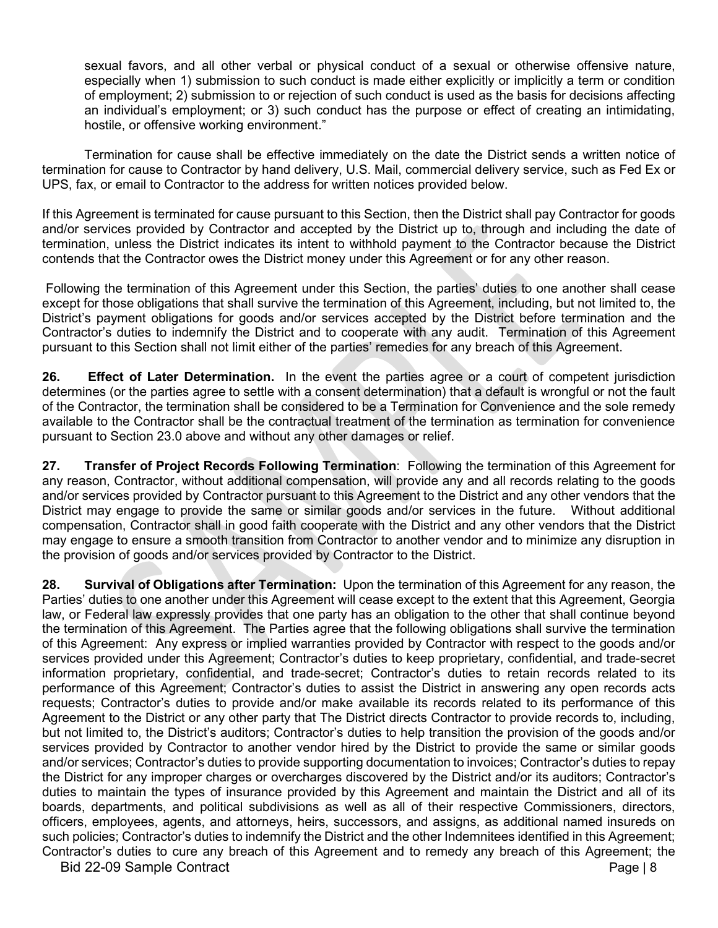sexual favors, and all other verbal or physical conduct of a sexual or otherwise offensive nature, especially when 1) submission to such conduct is made either explicitly or implicitly a term or condition of employment; 2) submission to or rejection of such conduct is used as the basis for decisions affecting an individual's employment; or 3) such conduct has the purpose or effect of creating an intimidating, hostile, or offensive working environment."

Termination for cause shall be effective immediately on the date the District sends a written notice of termination for cause to Contractor by hand delivery, U.S. Mail, commercial delivery service, such as Fed Ex or UPS, fax, or email to Contractor to the address for written notices provided below.

If this Agreement is terminated for cause pursuant to this Section, then the District shall pay Contractor for goods and/or services provided by Contractor and accepted by the District up to, through and including the date of termination, unless the District indicates its intent to withhold payment to the Contractor because the District contends that the Contractor owes the District money under this Agreement or for any other reason.

Following the termination of this Agreement under this Section, the parties' duties to one another shall cease except for those obligations that shall survive the termination of this Agreement, including, but not limited to, the District's payment obligations for goods and/or services accepted by the District before termination and the Contractor's duties to indemnify the District and to cooperate with any audit. Termination of this Agreement pursuant to this Section shall not limit either of the parties' remedies for any breach of this Agreement.

**26. Effect of Later Determination.** In the event the parties agree or a court of competent jurisdiction determines (or the parties agree to settle with a consent determination) that a default is wrongful or not the fault of the Contractor, the termination shall be considered to be a Termination for Convenience and the sole remedy available to the Contractor shall be the contractual treatment of the termination as termination for convenience pursuant to Section 23.0 above and without any other damages or relief.

**27. Transfer of Project Records Following Termination**: Following the termination of this Agreement for any reason, Contractor, without additional compensation, will provide any and all records relating to the goods and/or services provided by Contractor pursuant to this Agreement to the District and any other vendors that the District may engage to provide the same or similar goods and/or services in the future. Without additional compensation, Contractor shall in good faith cooperate with the District and any other vendors that the District may engage to ensure a smooth transition from Contractor to another vendor and to minimize any disruption in the provision of goods and/or services provided by Contractor to the District.

Bid 22-09 Sample Contract **Page 18 28. Survival of Obligations after Termination:** Upon the termination of this Agreement for any reason, the Parties' duties to one another under this Agreement will cease except to the extent that this Agreement, Georgia law, or Federal law expressly provides that one party has an obligation to the other that shall continue beyond the termination of this Agreement. The Parties agree that the following obligations shall survive the termination of this Agreement: Any express or implied warranties provided by Contractor with respect to the goods and/or services provided under this Agreement; Contractor's duties to keep proprietary, confidential, and trade-secret information proprietary, confidential, and trade-secret; Contractor's duties to retain records related to its performance of this Agreement; Contractor's duties to assist the District in answering any open records acts requests; Contractor's duties to provide and/or make available its records related to its performance of this Agreement to the District or any other party that The District directs Contractor to provide records to, including, but not limited to, the District's auditors; Contractor's duties to help transition the provision of the goods and/or services provided by Contractor to another vendor hired by the District to provide the same or similar goods and/or services; Contractor's duties to provide supporting documentation to invoices; Contractor's duties to repay the District for any improper charges or overcharges discovered by the District and/or its auditors; Contractor's duties to maintain the types of insurance provided by this Agreement and maintain the District and all of its boards, departments, and political subdivisions as well as all of their respective Commissioners, directors, officers, employees, agents, and attorneys, heirs, successors, and assigns, as additional named insureds on such policies; Contractor's duties to indemnify the District and the other Indemnitees identified in this Agreement; Contractor's duties to cure any breach of this Agreement and to remedy any breach of this Agreement; the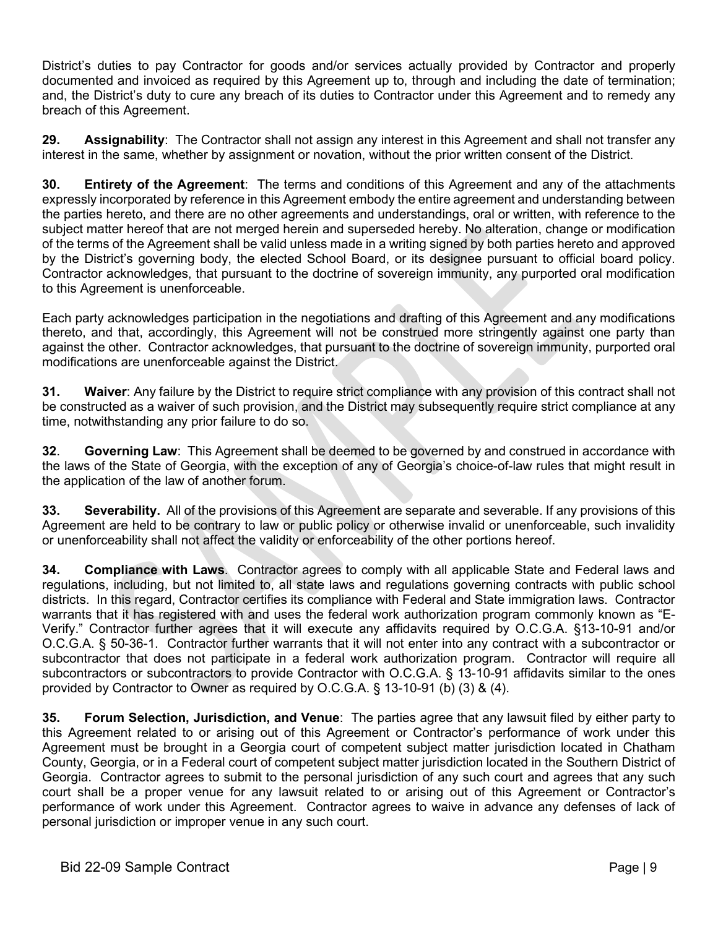District's duties to pay Contractor for goods and/or services actually provided by Contractor and properly documented and invoiced as required by this Agreement up to, through and including the date of termination; and, the District's duty to cure any breach of its duties to Contractor under this Agreement and to remedy any breach of this Agreement.

**29. Assignability**: The Contractor shall not assign any interest in this Agreement and shall not transfer any interest in the same, whether by assignment or novation, without the prior written consent of the District.

**30. Entirety of the Agreement**: The terms and conditions of this Agreement and any of the attachments expressly incorporated by reference in this Agreement embody the entire agreement and understanding between the parties hereto, and there are no other agreements and understandings, oral or written, with reference to the subject matter hereof that are not merged herein and superseded hereby. No alteration, change or modification of the terms of the Agreement shall be valid unless made in a writing signed by both parties hereto and approved by the District's governing body, the elected School Board, or its designee pursuant to official board policy. Contractor acknowledges, that pursuant to the doctrine of sovereign immunity, any purported oral modification to this Agreement is unenforceable.

Each party acknowledges participation in the negotiations and drafting of this Agreement and any modifications thereto, and that, accordingly, this Agreement will not be construed more stringently against one party than against the other. Contractor acknowledges, that pursuant to the doctrine of sovereign immunity, purported oral modifications are unenforceable against the District.

**31. Waiver**: Any failure by the District to require strict compliance with any provision of this contract shall not be constructed as a waiver of such provision, and the District may subsequently require strict compliance at any time, notwithstanding any prior failure to do so.

**32**. **Governing Law**: This Agreement shall be deemed to be governed by and construed in accordance with the laws of the State of Georgia, with the exception of any of Georgia's choice-of-law rules that might result in the application of the law of another forum.

**33. Severability.** All of the provisions of this Agreement are separate and severable. If any provisions of this Agreement are held to be contrary to law or public policy or otherwise invalid or unenforceable, such invalidity or unenforceability shall not affect the validity or enforceability of the other portions hereof.

**34. Compliance with Laws**. Contractor agrees to comply with all applicable State and Federal laws and regulations, including, but not limited to, all state laws and regulations governing contracts with public school districts. In this regard, Contractor certifies its compliance with Federal and State immigration laws. Contractor warrants that it has registered with and uses the federal work authorization program commonly known as "E-Verify." Contractor further agrees that it will execute any affidavits required by O.C.G.A. §13-10-91 and/or O.C.G.A. § 50-36-1. Contractor further warrants that it will not enter into any contract with a subcontractor or subcontractor that does not participate in a federal work authorization program. Contractor will require all subcontractors or subcontractors to provide Contractor with O.C.G.A. § 13-10-91 affidavits similar to the ones provided by Contractor to Owner as required by O.C.G.A. § 13-10-91 (b) (3) & (4).

**35. Forum Selection, Jurisdiction, and Venue**: The parties agree that any lawsuit filed by either party to this Agreement related to or arising out of this Agreement or Contractor's performance of work under this Agreement must be brought in a Georgia court of competent subject matter jurisdiction located in Chatham County, Georgia, or in a Federal court of competent subject matter jurisdiction located in the Southern District of Georgia. Contractor agrees to submit to the personal jurisdiction of any such court and agrees that any such court shall be a proper venue for any lawsuit related to or arising out of this Agreement or Contractor's performance of work under this Agreement. Contractor agrees to waive in advance any defenses of lack of personal jurisdiction or improper venue in any such court.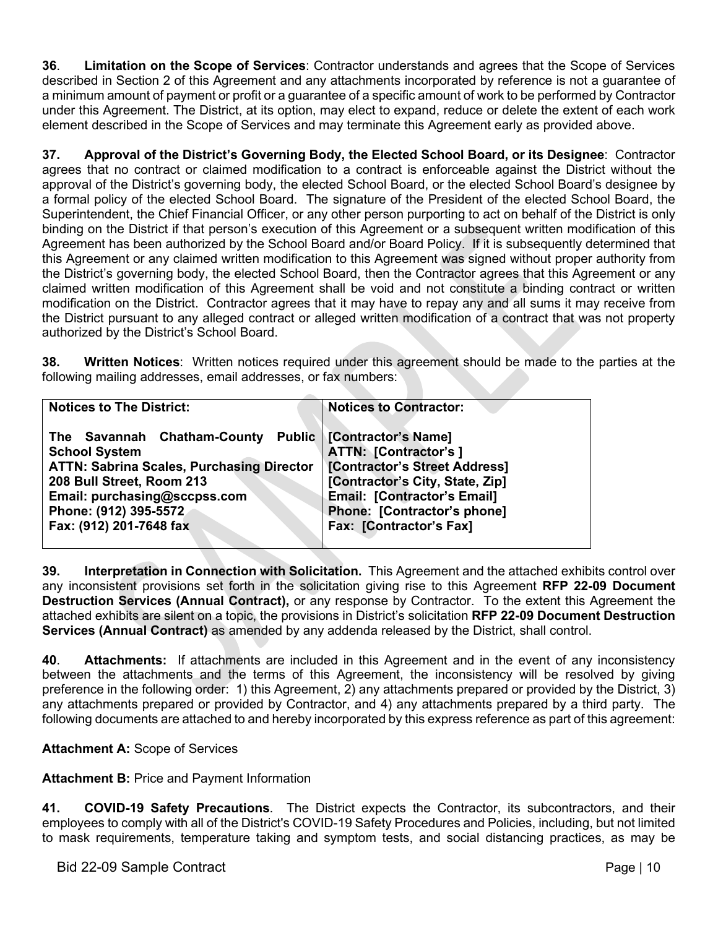**36**. **Limitation on the Scope of Services**: Contractor understands and agrees that the Scope of Services described in Section 2 of this Agreement and any attachments incorporated by reference is not a guarantee of a minimum amount of payment or profit or a guarantee of a specific amount of work to be performed by Contractor under this Agreement. The District, at its option, may elect to expand, reduce or delete the extent of each work element described in the Scope of Services and may terminate this Agreement early as provided above.

**37. Approval of the District's Governing Body, the Elected School Board, or its Designee**: Contractor agrees that no contract or claimed modification to a contract is enforceable against the District without the approval of the District's governing body, the elected School Board, or the elected School Board's designee by a formal policy of the elected School Board. The signature of the President of the elected School Board, the Superintendent, the Chief Financial Officer, or any other person purporting to act on behalf of the District is only binding on the District if that person's execution of this Agreement or a subsequent written modification of this Agreement has been authorized by the School Board and/or Board Policy. If it is subsequently determined that this Agreement or any claimed written modification to this Agreement was signed without proper authority from the District's governing body, the elected School Board, then the Contractor agrees that this Agreement or any claimed written modification of this Agreement shall be void and not constitute a binding contract or written modification on the District. Contractor agrees that it may have to repay any and all sums it may receive from the District pursuant to any alleged contract or alleged written modification of a contract that was not property authorized by the District's School Board.

**38. Written Notices**: Written notices required under this agreement should be made to the parties at the following mailing addresses, email addresses, or fax numbers:

| <b>Notices to The District:</b>                          | <b>Notices to Contractor:</b>      |
|----------------------------------------------------------|------------------------------------|
| The Savannah Chatham-County Public   [Contractor's Name] |                                    |
| <b>School System</b>                                     | <b>ATTN: [Contractor's]</b>        |
| <b>ATTN: Sabrina Scales, Purchasing Director</b>         | [Contractor's Street Address]      |
| 208 Bull Street, Room 213                                | [Contractor's City, State, Zip]    |
| Email: purchasing@sccpss.com                             | <b>Email: [Contractor's Email]</b> |
| Phone: (912) 395-5572                                    | Phone: [Contractor's phone]        |
| Fax: (912) 201-7648 fax                                  | <b>Fax: [Contractor's Fax]</b>     |
|                                                          |                                    |

**39. Interpretation in Connection with Solicitation.** This Agreement and the attached exhibits control over any inconsistent provisions set forth in the solicitation giving rise to this Agreement **RFP 22-09 Document Destruction Services (Annual Contract),** or any response by Contractor. To the extent this Agreement the attached exhibits are silent on a topic, the provisions in District's solicitation **RFP 22-09 Document Destruction Services (Annual Contract)** as amended by any addenda released by the District, shall control.

**40**. **Attachments:** If attachments are included in this Agreement and in the event of any inconsistency between the attachments and the terms of this Agreement, the inconsistency will be resolved by giving preference in the following order: 1) this Agreement, 2) any attachments prepared or provided by the District, 3) any attachments prepared or provided by Contractor, and 4) any attachments prepared by a third party. The following documents are attached to and hereby incorporated by this express reference as part of this agreement:

## **Attachment A:** Scope of Services

## **Attachment B:** Price and Payment Information

**41. COVID-19 Safety Precautions**. The District expects the Contractor, its subcontractors, and their employees to comply with all of the District's COVID-19 Safety Procedures and Policies, including, but not limited to mask requirements, temperature taking and symptom tests, and social distancing practices, as may be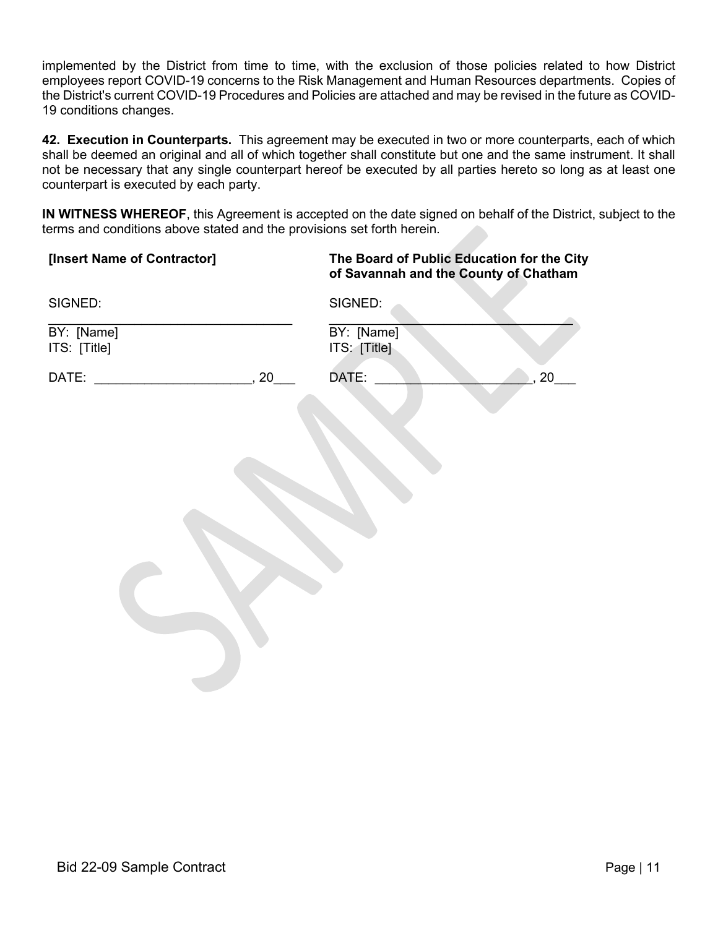implemented by the District from time to time, with the exclusion of those policies related to how District employees report COVID-19 concerns to the Risk Management and Human Resources departments. Copies of the District's current COVID-19 Procedures and Policies are attached and may be revised in the future as COVID-19 conditions changes.

**42. Execution in Counterparts.** This agreement may be executed in two or more counterparts, each of which shall be deemed an original and all of which together shall constitute but one and the same instrument. It shall not be necessary that any single counterpart hereof be executed by all parties hereto so long as at least one counterpart is executed by each party.

**IN WITNESS WHEREOF**, this Agreement is accepted on the date signed on behalf of the District, subject to the terms and conditions above stated and the provisions set forth herein.

| [Insert Name of Contractor] | The Board of Public Education for the City<br>of Savannah and the County of Chatham |
|-----------------------------|-------------------------------------------------------------------------------------|
| SIGNED:                     | SIGNED:                                                                             |
| BY: [Name]                  | BY: [Name]                                                                          |
| ITS: [Title]                | ITS: [Title]                                                                        |
| DATE:                       | DATE:                                                                               |
| 20                          | 20                                                                                  |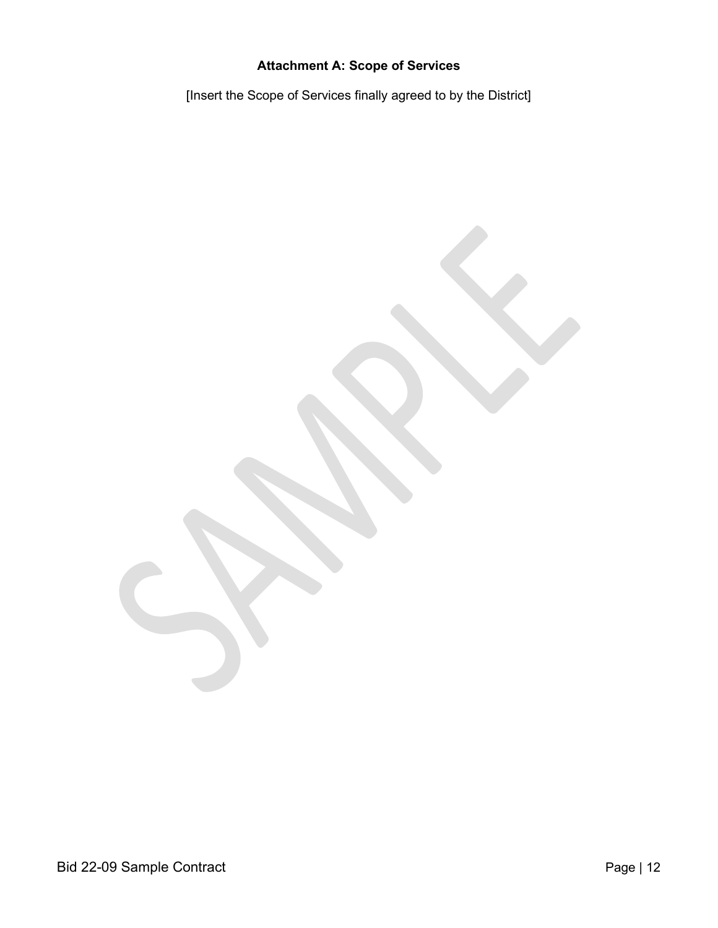# **Attachment A: Scope of Services**

[Insert the Scope of Services finally agreed to by the District]